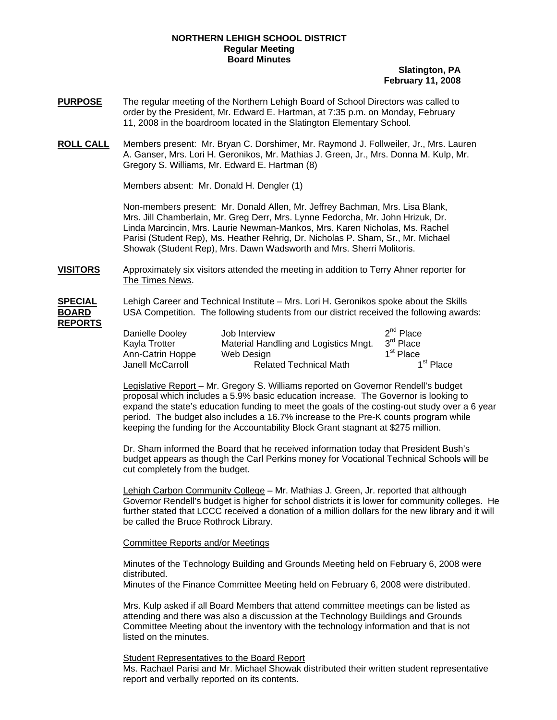## **NORTHERN LEHIGH SCHOOL DISTRICT Regular Meeting Board Minutes**

## **Slatington, PA February 11, 2008**

- **PURPOSE** The regular meeting of the Northern Lehigh Board of School Directors was called to order by the President, Mr. Edward E. Hartman, at 7:35 p.m. on Monday, February 11, 2008 in the boardroom located in the Slatington Elementary School.
- **ROLL CALL** Members present: Mr. Bryan C. Dorshimer, Mr. Raymond J. Follweiler, Jr., Mrs. Lauren A. Ganser, Mrs. Lori H. Geronikos, Mr. Mathias J. Green, Jr., Mrs. Donna M. Kulp, Mr. Gregory S. Williams, Mr. Edward E. Hartman (8)

Members absent: Mr. Donald H. Dengler (1)

Non-members present: Mr. Donald Allen, Mr. Jeffrey Bachman, Mrs. Lisa Blank, Mrs. Jill Chamberlain, Mr. Greg Derr, Mrs. Lynne Fedorcha, Mr. John Hrizuk, Dr. Linda Marcincin, Mrs. Laurie Newman-Mankos, Mrs. Karen Nicholas, Ms. Rachel Parisi (Student Rep), Ms. Heather Rehrig, Dr. Nicholas P. Sham, Sr., Mr. Michael Showak (Student Rep), Mrs. Dawn Wadsworth and Mrs. Sherri Molitoris.

**VISITORS** Approximately six visitors attended the meeting in addition to Terry Ahner reporter for The Times News.

**SPECIAL** Lehigh Career and Technical Institute – Mrs. Lori H. Geronikos spoke about the Skills **BOARD** USA Competition. The following students from our district received the following awards: **REPORTS**

| Danielle Dooley  | Job Interview                         | $2^{nd}$ Place        |
|------------------|---------------------------------------|-----------------------|
| Kavla Trotter    | Material Handling and Logistics Mngt. | 3 <sup>rd</sup> Place |
| Ann-Catrin Hoppe | Web Design                            | 1 <sup>st</sup> Place |
| Janell McCarroll | <b>Related Technical Math</b>         | 1 <sup>st</sup> Place |

 Legislative Report – Mr. Gregory S. Williams reported on Governor Rendell's budget proposal which includes a 5.9% basic education increase. The Governor is looking to expand the state's education funding to meet the goals of the costing-out study over a 6 year period. The budget also includes a 16.7% increase to the Pre-K counts program while keeping the funding for the Accountability Block Grant stagnant at \$275 million.

 Dr. Sham informed the Board that he received information today that President Bush's budget appears as though the Carl Perkins money for Vocational Technical Schools will be cut completely from the budget.

 Lehigh Carbon Community College – Mr. Mathias J. Green, Jr. reported that although Governor Rendell's budget is higher for school districts it is lower for community colleges. He further stated that LCCC received a donation of a million dollars for the new library and it will be called the Bruce Rothrock Library.

## Committee Reports and/or Meetings

Minutes of the Technology Building and Grounds Meeting held on February 6, 2008 were distributed.

Minutes of the Finance Committee Meeting held on February 6, 2008 were distributed.

Mrs. Kulp asked if all Board Members that attend committee meetings can be listed as attending and there was also a discussion at the Technology Buildings and Grounds Committee Meeting about the inventory with the technology information and that is not listed on the minutes.

**Student Representatives to the Board Report** 

Ms. Rachael Parisi and Mr. Michael Showak distributed their written student representative report and verbally reported on its contents.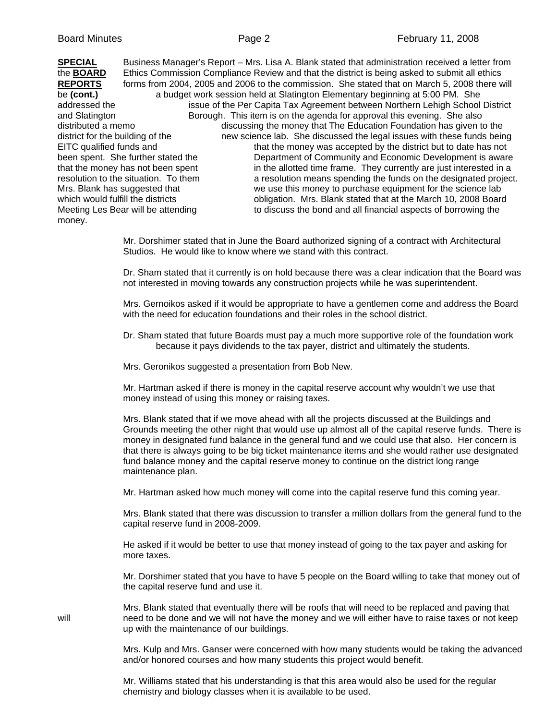| <b>SPECIAL</b>                       |                                    | Business Manager's Report - Mrs. Lisa A. Blank stated that administration received a letter from |
|--------------------------------------|------------------------------------|--------------------------------------------------------------------------------------------------|
| the <b>BOARD</b>                     |                                    | Ethics Commission Compliance Review and that the district is being asked to submit all ethics    |
| <b>REPORTS</b>                       |                                    | forms from 2004, 2005 and 2006 to the commission. She stated that on March 5, 2008 there will    |
| be (cont.)                           |                                    | a budget work session held at Slatington Elementary beginning at 5:00 PM. She                    |
| addressed the                        |                                    | issue of the Per Capita Tax Agreement between Northern Lehigh School District                    |
| and Slatington                       |                                    | Borough. This item is on the agenda for approval this evening. She also                          |
| distributed a memo                   |                                    | discussing the money that The Education Foundation has given to the                              |
| district for the building of the     |                                    | new science lab. She discussed the legal issues with these funds being                           |
| EITC qualified funds and             |                                    | that the money was accepted by the district but to date has not                                  |
|                                      | been spent. She further stated the | Department of Community and Economic Development is aware                                        |
| that the money has not been spent    |                                    | in the allotted time frame. They currently are just interested in a                              |
| resolution to the situation. To them |                                    | a resolution means spending the funds on the designated project.                                 |
| Mrs. Blank has suggested that        |                                    | we use this money to purchase equipment for the science lab                                      |
| which would fulfill the districts    |                                    | obligation. Mrs. Blank stated that at the March 10, 2008 Board                                   |
| Meeting Les Bear will be attending   |                                    | to discuss the bond and all financial aspects of borrowing the                                   |
| money.                               |                                    |                                                                                                  |

 Mr. Dorshimer stated that in June the Board authorized signing of a contract with Architectural Studios. He would like to know where we stand with this contract.

 Dr. Sham stated that it currently is on hold because there was a clear indication that the Board was not interested in moving towards any construction projects while he was superintendent.

 Mrs. Gernoikos asked if it would be appropriate to have a gentlemen come and address the Board with the need for education foundations and their roles in the school district.

 Dr. Sham stated that future Boards must pay a much more supportive role of the foundation work because it pays dividends to the tax payer, district and ultimately the students.

Mrs. Geronikos suggested a presentation from Bob New.

 Mr. Hartman asked if there is money in the capital reserve account why wouldn't we use that money instead of using this money or raising taxes.

 Mrs. Blank stated that if we move ahead with all the projects discussed at the Buildings and Grounds meeting the other night that would use up almost all of the capital reserve funds. There is money in designated fund balance in the general fund and we could use that also. Her concern is that there is always going to be big ticket maintenance items and she would rather use designated fund balance money and the capital reserve money to continue on the district long range maintenance plan.

Mr. Hartman asked how much money will come into the capital reserve fund this coming year.

 Mrs. Blank stated that there was discussion to transfer a million dollars from the general fund to the capital reserve fund in 2008-2009.

 He asked if it would be better to use that money instead of going to the tax payer and asking for more taxes.

 Mr. Dorshimer stated that you have to have 5 people on the Board willing to take that money out of the capital reserve fund and use it.

 Mrs. Blank stated that eventually there will be roofs that will need to be replaced and paving that will need to be done and we will not have the money and we will either have to raise taxes or not keep up with the maintenance of our buildings.

> Mrs. Kulp and Mrs. Ganser were concerned with how many students would be taking the advanced and/or honored courses and how many students this project would benefit.

 Mr. Williams stated that his understanding is that this area would also be used for the regular chemistry and biology classes when it is available to be used.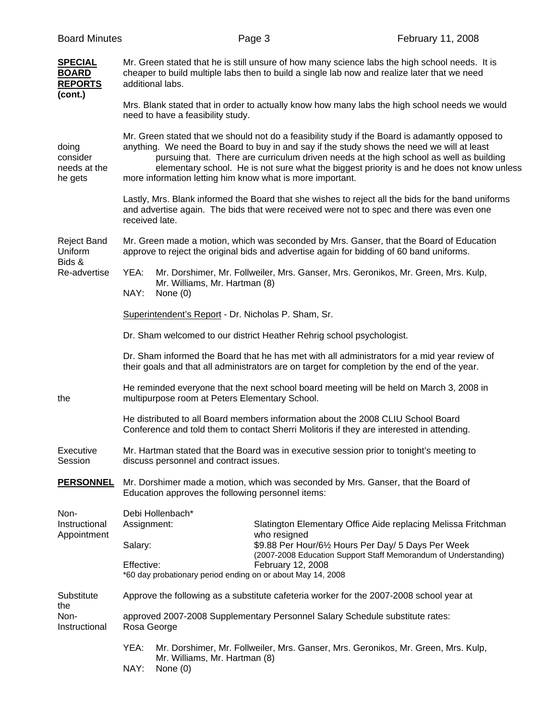| <b>Board Minutes</b>                                    |                                                                                                                                                                                                                                                                                                                                                                                                                                                     |                                                             | Page 3                                                                                                                               | February 11, 2008                                               |
|---------------------------------------------------------|-----------------------------------------------------------------------------------------------------------------------------------------------------------------------------------------------------------------------------------------------------------------------------------------------------------------------------------------------------------------------------------------------------------------------------------------------------|-------------------------------------------------------------|--------------------------------------------------------------------------------------------------------------------------------------|-----------------------------------------------------------------|
| <b>SPECIAL</b><br><b>BOARD</b><br><b>REPORTS</b>        | Mr. Green stated that he is still unsure of how many science labs the high school needs. It is<br>cheaper to build multiple labs then to build a single lab now and realize later that we need<br>additional labs.                                                                                                                                                                                                                                  |                                                             |                                                                                                                                      |                                                                 |
| (cont.)                                                 | Mrs. Blank stated that in order to actually know how many labs the high school needs we would<br>need to have a feasibility study.                                                                                                                                                                                                                                                                                                                  |                                                             |                                                                                                                                      |                                                                 |
| doing<br>consider<br>needs at the<br>he gets            | Mr. Green stated that we should not do a feasibility study if the Board is adamantly opposed to<br>anything. We need the Board to buy in and say if the study shows the need we will at least<br>pursuing that. There are curriculum driven needs at the high school as well as building<br>elementary school. He is not sure what the biggest priority is and he does not know unless<br>more information letting him know what is more important. |                                                             |                                                                                                                                      |                                                                 |
|                                                         | Lastly, Mrs. Blank informed the Board that she wishes to reject all the bids for the band uniforms<br>and advertise again. The bids that were received were not to spec and there was even one<br>received late.                                                                                                                                                                                                                                    |                                                             |                                                                                                                                      |                                                                 |
| <b>Reject Band</b><br>Uniform<br>Bids &<br>Re-advertise | Mr. Green made a motion, which was seconded by Mrs. Ganser, that the Board of Education<br>approve to reject the original bids and advertise again for bidding of 60 band uniforms.                                                                                                                                                                                                                                                                 |                                                             |                                                                                                                                      |                                                                 |
|                                                         | YEA:<br>NAY:                                                                                                                                                                                                                                                                                                                                                                                                                                        | Mr. Williams, Mr. Hartman (8)<br>None $(0)$                 | Mr. Dorshimer, Mr. Follweiler, Mrs. Ganser, Mrs. Geronikos, Mr. Green, Mrs. Kulp,                                                    |                                                                 |
|                                                         | Superintendent's Report - Dr. Nicholas P. Sham, Sr.                                                                                                                                                                                                                                                                                                                                                                                                 |                                                             |                                                                                                                                      |                                                                 |
|                                                         | Dr. Sham welcomed to our district Heather Rehrig school psychologist.                                                                                                                                                                                                                                                                                                                                                                               |                                                             |                                                                                                                                      |                                                                 |
|                                                         | Dr. Sham informed the Board that he has met with all administrators for a mid year review of<br>their goals and that all administrators are on target for completion by the end of the year.                                                                                                                                                                                                                                                        |                                                             |                                                                                                                                      |                                                                 |
| the                                                     | He reminded everyone that the next school board meeting will be held on March 3, 2008 in<br>multipurpose room at Peters Elementary School.                                                                                                                                                                                                                                                                                                          |                                                             |                                                                                                                                      |                                                                 |
|                                                         | He distributed to all Board members information about the 2008 CLIU School Board<br>Conference and told them to contact Sherri Molitoris if they are interested in attending.                                                                                                                                                                                                                                                                       |                                                             |                                                                                                                                      |                                                                 |
| Executive<br>Session                                    | Mr. Hartman stated that the Board was in executive session prior to tonight's meeting to<br>discuss personnel and contract issues.                                                                                                                                                                                                                                                                                                                  |                                                             |                                                                                                                                      |                                                                 |
| <b>PERSONNEL</b>                                        | Mr. Dorshimer made a motion, which was seconded by Mrs. Ganser, that the Board of<br>Education approves the following personnel items:                                                                                                                                                                                                                                                                                                              |                                                             |                                                                                                                                      |                                                                 |
| Non-<br>Instructional                                   | Debi Hollenbach*<br>Assignment:                                                                                                                                                                                                                                                                                                                                                                                                                     |                                                             |                                                                                                                                      |                                                                 |
| Appointment                                             | Salary:                                                                                                                                                                                                                                                                                                                                                                                                                                             |                                                             | Slatington Elementary Office Aide replacing Melissa Fritchman<br>who resigned<br>\$9.88 Per Hour/61/2 Hours Per Day/ 5 Days Per Week |                                                                 |
|                                                         | Effective:                                                                                                                                                                                                                                                                                                                                                                                                                                          | *60 day probationary period ending on or about May 14, 2008 | February 12, 2008                                                                                                                    | (2007-2008 Education Support Staff Memorandum of Understanding) |
| Substitute<br>the<br>Non-<br>Instructional              | Approve the following as a substitute cafeteria worker for the 2007-2008 school year at                                                                                                                                                                                                                                                                                                                                                             |                                                             |                                                                                                                                      |                                                                 |
|                                                         | approved 2007-2008 Supplementary Personnel Salary Schedule substitute rates:<br>Rosa George                                                                                                                                                                                                                                                                                                                                                         |                                                             |                                                                                                                                      |                                                                 |
|                                                         | YEA:<br>NAY:                                                                                                                                                                                                                                                                                                                                                                                                                                        | Mr. Williams, Mr. Hartman (8)<br>None $(0)$                 | Mr. Dorshimer, Mr. Follweiler, Mrs. Ganser, Mrs. Geronikos, Mr. Green, Mrs. Kulp,                                                    |                                                                 |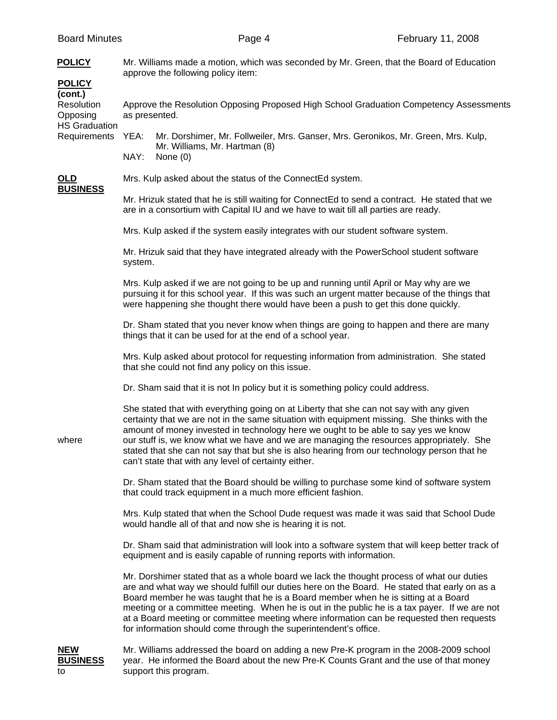| <b>POLICY</b><br><b>POLICY</b>                                            | Mr. Williams made a motion, which was seconded by Mr. Green, that the Board of Education<br>approve the following policy item:                                                                                                                                                                                                                                                                                                                                                                                                 |                                                                                                                                                                                                                                                                                                                                                                                                                                                                                                                                                   |  |  |
|---------------------------------------------------------------------------|--------------------------------------------------------------------------------------------------------------------------------------------------------------------------------------------------------------------------------------------------------------------------------------------------------------------------------------------------------------------------------------------------------------------------------------------------------------------------------------------------------------------------------|---------------------------------------------------------------------------------------------------------------------------------------------------------------------------------------------------------------------------------------------------------------------------------------------------------------------------------------------------------------------------------------------------------------------------------------------------------------------------------------------------------------------------------------------------|--|--|
| (cont.)<br>Resolution<br>Opposing<br><b>HS Graduation</b><br>Requirements | Approve the Resolution Opposing Proposed High School Graduation Competency Assessments<br>as presented.                                                                                                                                                                                                                                                                                                                                                                                                                        |                                                                                                                                                                                                                                                                                                                                                                                                                                                                                                                                                   |  |  |
|                                                                           | YEA:<br>NAY:                                                                                                                                                                                                                                                                                                                                                                                                                                                                                                                   | Mr. Dorshimer, Mr. Follweiler, Mrs. Ganser, Mrs. Geronikos, Mr. Green, Mrs. Kulp,<br>Mr. Williams, Mr. Hartman (8)<br>None $(0)$                                                                                                                                                                                                                                                                                                                                                                                                                  |  |  |
| OLD                                                                       |                                                                                                                                                                                                                                                                                                                                                                                                                                                                                                                                | Mrs. Kulp asked about the status of the ConnectEd system.                                                                                                                                                                                                                                                                                                                                                                                                                                                                                         |  |  |
| <b>BUSINESS</b>                                                           | Mr. Hrizuk stated that he is still waiting for ConnectEd to send a contract. He stated that we<br>are in a consortium with Capital IU and we have to wait till all parties are ready.                                                                                                                                                                                                                                                                                                                                          |                                                                                                                                                                                                                                                                                                                                                                                                                                                                                                                                                   |  |  |
|                                                                           | Mrs. Kulp asked if the system easily integrates with our student software system.                                                                                                                                                                                                                                                                                                                                                                                                                                              |                                                                                                                                                                                                                                                                                                                                                                                                                                                                                                                                                   |  |  |
|                                                                           | Mr. Hrizuk said that they have integrated already with the PowerSchool student software<br>system.                                                                                                                                                                                                                                                                                                                                                                                                                             |                                                                                                                                                                                                                                                                                                                                                                                                                                                                                                                                                   |  |  |
|                                                                           | Mrs. Kulp asked if we are not going to be up and running until April or May why are we<br>pursuing it for this school year. If this was such an urgent matter because of the things that<br>were happening she thought there would have been a push to get this done quickly.                                                                                                                                                                                                                                                  |                                                                                                                                                                                                                                                                                                                                                                                                                                                                                                                                                   |  |  |
|                                                                           | Dr. Sham stated that you never know when things are going to happen and there are many<br>things that it can be used for at the end of a school year.                                                                                                                                                                                                                                                                                                                                                                          |                                                                                                                                                                                                                                                                                                                                                                                                                                                                                                                                                   |  |  |
|                                                                           | Mrs. Kulp asked about protocol for requesting information from administration. She stated<br>that she could not find any policy on this issue.                                                                                                                                                                                                                                                                                                                                                                                 |                                                                                                                                                                                                                                                                                                                                                                                                                                                                                                                                                   |  |  |
|                                                                           | Dr. Sham said that it is not In policy but it is something policy could address.                                                                                                                                                                                                                                                                                                                                                                                                                                               |                                                                                                                                                                                                                                                                                                                                                                                                                                                                                                                                                   |  |  |
| where                                                                     | She stated that with everything going on at Liberty that she can not say with any given<br>certainty that we are not in the same situation with equipment missing. She thinks with the<br>amount of money invested in technology here we ought to be able to say yes we know<br>our stuff is, we know what we have and we are managing the resources appropriately. She<br>stated that she can not say that but she is also hearing from our technology person that he<br>can't state that with any level of certainty either. |                                                                                                                                                                                                                                                                                                                                                                                                                                                                                                                                                   |  |  |
|                                                                           | Dr. Sham stated that the Board should be willing to purchase some kind of software system<br>that could track equipment in a much more efficient fashion.                                                                                                                                                                                                                                                                                                                                                                      |                                                                                                                                                                                                                                                                                                                                                                                                                                                                                                                                                   |  |  |
|                                                                           | Mrs. Kulp stated that when the School Dude request was made it was said that School Dude<br>would handle all of that and now she is hearing it is not.                                                                                                                                                                                                                                                                                                                                                                         |                                                                                                                                                                                                                                                                                                                                                                                                                                                                                                                                                   |  |  |
|                                                                           | Dr. Sham said that administration will look into a software system that will keep better track of<br>equipment and is easily capable of running reports with information.                                                                                                                                                                                                                                                                                                                                                      |                                                                                                                                                                                                                                                                                                                                                                                                                                                                                                                                                   |  |  |
|                                                                           |                                                                                                                                                                                                                                                                                                                                                                                                                                                                                                                                | Mr. Dorshimer stated that as a whole board we lack the thought process of what our duties<br>are and what way we should fulfill our duties here on the Board. He stated that early on as a<br>Board member he was taught that he is a Board member when he is sitting at a Board<br>meeting or a committee meeting. When he is out in the public he is a tax payer. If we are not<br>at a Board meeting or committee meeting where information can be requested then requests<br>for information should come through the superintendent's office. |  |  |
| <b>NEW</b><br><b>BUSINESS</b><br>to                                       |                                                                                                                                                                                                                                                                                                                                                                                                                                                                                                                                | Mr. Williams addressed the board on adding a new Pre-K program in the 2008-2009 school<br>year. He informed the Board about the new Pre-K Counts Grant and the use of that money<br>support this program.                                                                                                                                                                                                                                                                                                                                         |  |  |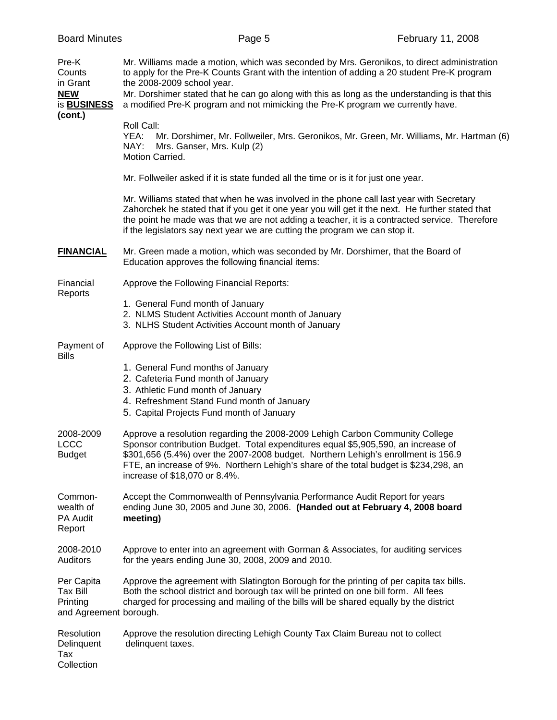| <b>Board Minutes</b>                                            | Page 5                                                                                                                                                                                                                                                                                                                                                                                                      | February 11, 2008                                                                       |  |
|-----------------------------------------------------------------|-------------------------------------------------------------------------------------------------------------------------------------------------------------------------------------------------------------------------------------------------------------------------------------------------------------------------------------------------------------------------------------------------------------|-----------------------------------------------------------------------------------------|--|
| Pre-K<br>Counts<br>in Grant<br><b>NEW</b><br>is <b>BUSINESS</b> | Mr. Williams made a motion, which was seconded by Mrs. Geronikos, to direct administration<br>to apply for the Pre-K Counts Grant with the intention of adding a 20 student Pre-K program<br>the 2008-2009 school year.<br>Mr. Dorshimer stated that he can go along with this as long as the understanding is that this<br>a modified Pre-K program and not mimicking the Pre-K program we currently have. |                                                                                         |  |
| (cont.)                                                         | Roll Call:<br>YEA:<br>NAY:<br>Mrs. Ganser, Mrs. Kulp (2)<br>Motion Carried.                                                                                                                                                                                                                                                                                                                                 | Mr. Dorshimer, Mr. Follweiler, Mrs. Geronikos, Mr. Green, Mr. Williams, Mr. Hartman (6) |  |
|                                                                 | Mr. Follweiler asked if it is state funded all the time or is it for just one year.                                                                                                                                                                                                                                                                                                                         |                                                                                         |  |
|                                                                 | Mr. Williams stated that when he was involved in the phone call last year with Secretary<br>Zahorchek he stated that if you get it one year you will get it the next. He further stated that<br>the point he made was that we are not adding a teacher, it is a contracted service. Therefore<br>if the legislators say next year we are cutting the program we can stop it.                                |                                                                                         |  |
| <b>FINANCIAL</b>                                                | Mr. Green made a motion, which was seconded by Mr. Dorshimer, that the Board of<br>Education approves the following financial items:                                                                                                                                                                                                                                                                        |                                                                                         |  |
| Financial                                                       | Approve the Following Financial Reports:                                                                                                                                                                                                                                                                                                                                                                    |                                                                                         |  |
| Reports                                                         | 1. General Fund month of January<br>2. NLMS Student Activities Account month of January<br>3. NLHS Student Activities Account month of January                                                                                                                                                                                                                                                              |                                                                                         |  |
| Payment of<br><b>Bills</b>                                      | Approve the Following List of Bills:                                                                                                                                                                                                                                                                                                                                                                        |                                                                                         |  |
|                                                                 | 1. General Fund months of January<br>2. Cafeteria Fund month of January<br>3. Athletic Fund month of January<br>4. Refreshment Stand Fund month of January<br>5. Capital Projects Fund month of January                                                                                                                                                                                                     |                                                                                         |  |
| 2008-2009<br><b>LCCC</b><br><b>Budget</b>                       | Approve a resolution regarding the 2008-2009 Lehigh Carbon Community College<br>Sponsor contribution Budget. Total expenditures equal \$5,905,590, an increase of<br>\$301,656 (5.4%) over the 2007-2008 budget. Northern Lehigh's enrollment is 156.9<br>FTE, an increase of 9%. Northern Lehigh's share of the total budget is \$234,298, an<br>increase of \$18,070 or 8.4%.                             |                                                                                         |  |
| Common-<br>wealth of<br><b>PA Audit</b><br>Report               | Accept the Commonwealth of Pennsylvania Performance Audit Report for years<br>ending June 30, 2005 and June 30, 2006. (Handed out at February 4, 2008 board<br>meeting)                                                                                                                                                                                                                                     |                                                                                         |  |
| 2008-2010<br>Auditors                                           | Approve to enter into an agreement with Gorman & Associates, for auditing services<br>for the years ending June 30, 2008, 2009 and 2010.                                                                                                                                                                                                                                                                    |                                                                                         |  |
| Per Capita<br>Tax Bill<br>Printing<br>and Agreement borough.    | Approve the agreement with Slatington Borough for the printing of per capita tax bills.<br>Both the school district and borough tax will be printed on one bill form. All fees<br>charged for processing and mailing of the bills will be shared equally by the district                                                                                                                                    |                                                                                         |  |
| Resolution<br>Delinquent<br>Tax<br>Collection                   | Approve the resolution directing Lehigh County Tax Claim Bureau not to collect<br>delinquent taxes.                                                                                                                                                                                                                                                                                                         |                                                                                         |  |